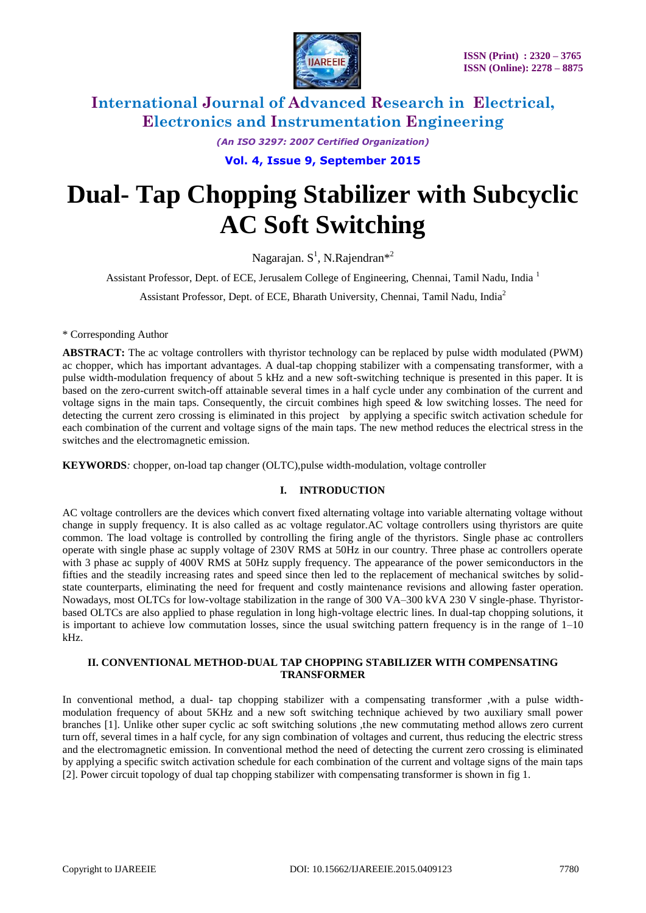

*(An ISO 3297: 2007 Certified Organization)* **Vol. 4, Issue 9, September 2015**

# **Dual- Tap Chopping Stabilizer with Subcyclic AC Soft Switching**

Nagarajan. S<sup>1</sup>, N.Rajendran\*<sup>2</sup>

Assistant Professor, Dept. of ECE, Jerusalem College of Engineering, Chennai, Tamil Nadu, India<sup>1</sup>

Assistant Professor, Dept. of ECE, Bharath University, Chennai, Tamil Nadu, India<sup>2</sup>

\* Corresponding Author

**ABSTRACT:** The ac voltage controllers with thyristor technology can be replaced by pulse width modulated (PWM) ac chopper, which has important advantages. A dual-tap chopping stabilizer with a compensating transformer, with a pulse width-modulation frequency of about 5 kHz and a new soft-switching technique is presented in this paper. It is based on the zero-current switch-off attainable several times in a half cycle under any combination of the current and voltage signs in the main taps. Consequently, the circuit combines high speed  $\&$  low switching losses. The need for detecting the current zero crossing is eliminated in this project by applying a specific switch activation schedule for each combination of the current and voltage signs of the main taps. The new method reduces the electrical stress in the switches and the electromagnetic emission.

**KEYWORDS***:* chopper, on-load tap changer (OLTC),pulse width-modulation, voltage controller

### **I. INTRODUCTION**

AC voltage controllers are the devices which convert fixed alternating voltage into variable alternating voltage without change in supply frequency. It is also called as ac voltage regulator.AC voltage controllers using thyristors are quite common. The load voltage is controlled by controlling the firing angle of the thyristors. Single phase ac controllers operate with single phase ac supply voltage of 230V RMS at 50Hz in our country. Three phase ac controllers operate with 3 phase ac supply of 400V RMS at 50Hz supply frequency. The appearance of the power semiconductors in the fifties and the steadily increasing rates and speed since then led to the replacement of mechanical switches by solidstate counterparts, eliminating the need for frequent and costly maintenance revisions and allowing faster operation. Nowadays, most OLTCs for low-voltage stabilization in the range of 300 VA–300 kVA 230 V single-phase. Thyristorbased OLTCs are also applied to phase regulation in long high-voltage electric lines. In dual-tap chopping solutions, it is important to achieve low commutation losses, since the usual switching pattern frequency is in the range of  $1-10$ kHz.

### **II. CONVENTIONAL METHOD-DUAL TAP CHOPPING STABILIZER WITH COMPENSATING TRANSFORMER**

In conventional method, a dual- tap chopping stabilizer with a compensating transformer ,with a pulse widthmodulation frequency of about 5KHz and a new soft switching technique achieved by two auxiliary small power branches [1]. Unlike other super cyclic ac soft switching solutions ,the new commutating method allows zero current turn off, several times in a half cycle, for any sign combination of voltages and current, thus reducing the electric stress and the electromagnetic emission. In conventional method the need of detecting the current zero crossing is eliminated by applying a specific switch activation schedule for each combination of the current and voltage signs of the main taps [2]. Power circuit topology of dual tap chopping stabilizer with compensating transformer is shown in fig 1.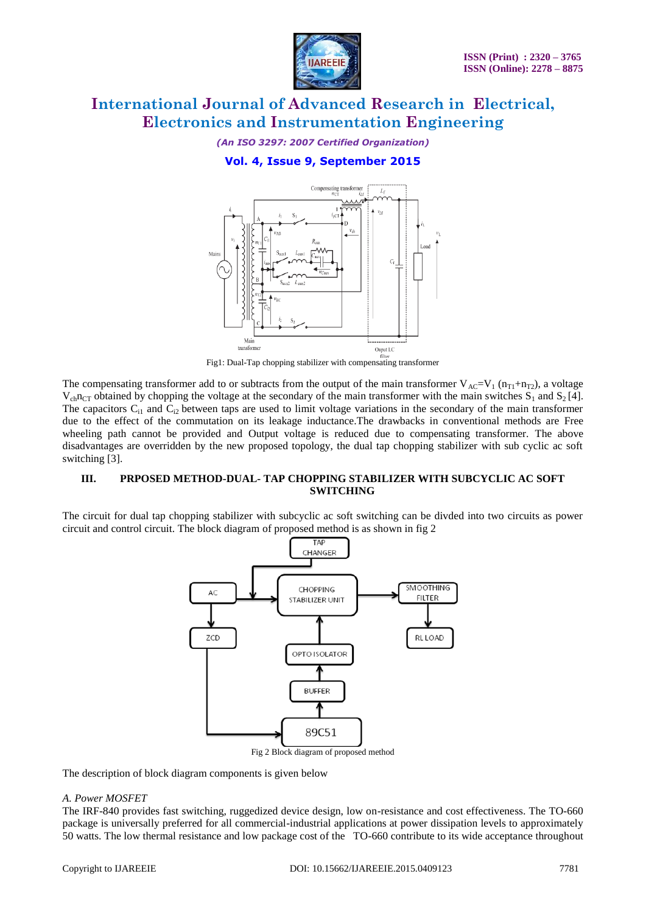

*(An ISO 3297: 2007 Certified Organization)*

## **Vol. 4, Issue 9, September 2015**



Fig1: Dual-Tap chopping stabilizer with compensating transformer

The compensating transformer add to or subtracts from the output of the main transformer  $V_{AC}=V_1 (n_{T1}+n_{T2})$ , a voltage  $V_{ch}n_{CT}$  obtained by chopping the voltage at the secondary of the main transformer with the main switches  $S_1$  and  $S_2$  [4]. The capacitors  $C_{i1}$  and  $C_{i2}$  between taps are used to limit voltage variations in the secondary of the main transformer due to the effect of the commutation on its leakage inductance.The drawbacks in conventional methods are Free wheeling path cannot be provided and Output voltage is reduced due to compensating transformer. The above disadvantages are overridden by the new proposed topology, the dual tap chopping stabilizer with sub cyclic ac soft switching [3].

### **III. PRPOSED METHOD-DUAL- TAP CHOPPING STABILIZER WITH SUBCYCLIC AC SOFT SWITCHING**

The circuit for dual tap chopping stabilizer with subcyclic ac soft switching can be divded into two circuits as power circuit and control circuit. The block diagram of proposed method is as shown in fig 2



The description of block diagram components is given below

### *A. Power MOSFET*

The IRF-840 provides fast switching, ruggedized device design, low on-resistance and cost effectiveness. The TO-660 package is universally preferred for all commercial-industrial applications at power dissipation levels to approximately 50 watts. The low thermal resistance and low package cost of the TO-660 contribute to its wide acceptance throughout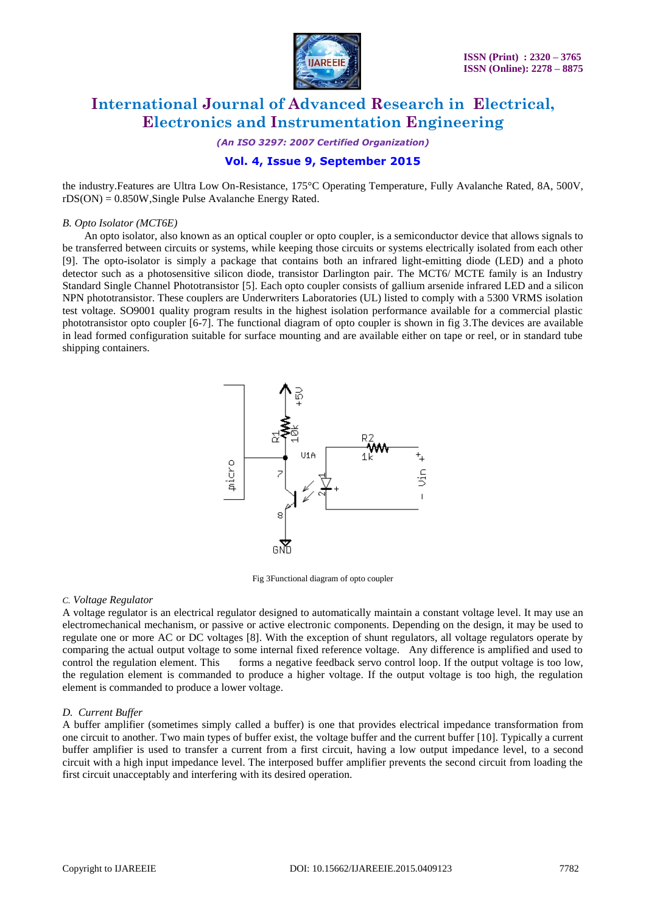

*(An ISO 3297: 2007 Certified Organization)*

## **Vol. 4, Issue 9, September 2015**

the industry.Features are Ultra Low On-Resistance, 175°C Operating Temperature, Fully Avalanche Rated, 8A, 500V, rDS(ON) = 0.850W,Single Pulse Avalanche Energy Rated.

#### *B. Opto Isolator (MCT6E)*

 An opto isolator, also known as an optical coupler or opto coupler, is a semiconductor device that allows signals to be transferred between circuits or systems, while keeping those circuits or systems electrically isolated from each other [9]. The opto-isolator is simply a package that contains both an infrared light-emitting diode (LED) and a photo detector such as a photosensitive silicon diode, transistor Darlington pair. The MCT6/ MCTE family is an Industry Standard Single Channel Phototransistor [5]. Each opto coupler consists of gallium arsenide infrared LED and a silicon NPN phototransistor. These couplers are Underwriters Laboratories (UL) listed to comply with a 5300 VRMS isolation test voltage. SO9001 quality program results in the highest isolation performance available for a commercial plastic phototransistor opto coupler [6-7]. The functional diagram of opto coupler is shown in fig 3.The devices are available in lead formed configuration suitable for surface mounting and are available either on tape or reel, or in standard tube shipping containers.



Fig 3Functional diagram of opto coupler

#### *C. Voltage Regulator*

A voltage regulator is an [electrical](http://en.wikipedia.org/wiki/Electricity) [regulator](http://en.wikipedia.org/wiki/Regulator_%28automatic_control%29) designed to automatically maintain a constant [voltage](http://en.wikipedia.org/wiki/Voltage) level. It may use an electromechanical mechanism, or passive or active electronic components. Depending on the design, it may be used to regulate one or more [AC](http://en.wikipedia.org/wiki/Alternating_current) or [DC](http://en.wikipedia.org/wiki/Direct_current) voltages [8]. With the exception of shunt regulators, all voltage regulators operate by comparing the actual output voltage to some internal fixed reference voltage. Any difference is amplified and used to control the regulation element. This forms a [negative feedback](http://en.wikipedia.org/wiki/Negative_feedback) [servo control loop.](http://en.wikipedia.org/wiki/Control_theory) If the output voltage is too low, the regulation element is commanded to produce a higher voltage. If the output voltage is too high, the regulation element is commanded to produce a lower voltage.

#### *D. Current Buffer*

A buffer amplifier (sometimes simply called a buffer) is one that provides electrical impedance transformation from one circuit to another. Two main types of buffer exist, the voltage buffer and the current buffer [10]. Typically a current buffer amplifier is used to transfer a current from a first circuit, having a low output impedance level, to a second circuit with a high input impedance level. The interposed buffer amplifier prevents the second circuit from loading the first circuit unacceptably and interfering with its desired operation.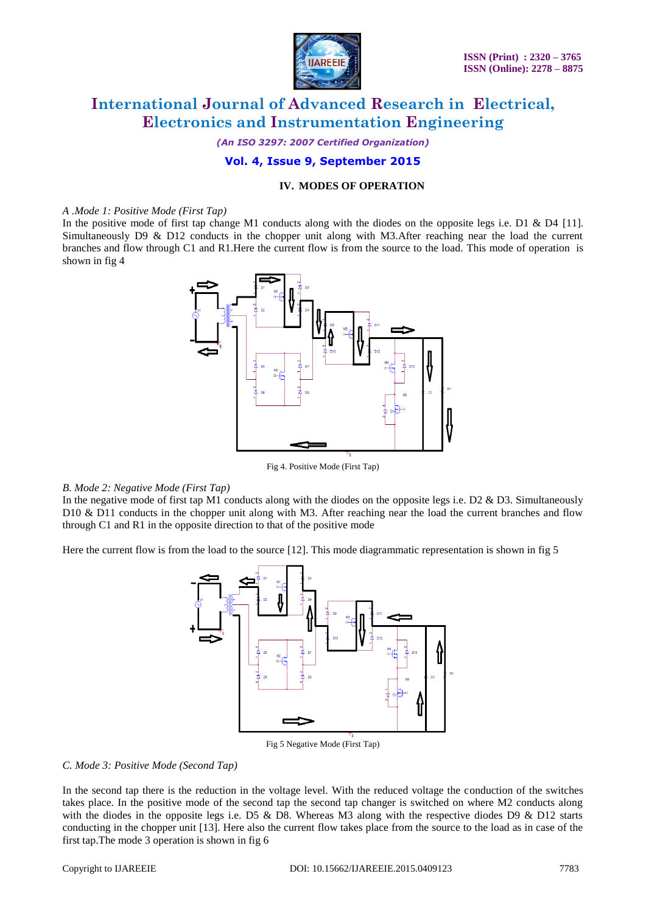

*(An ISO 3297: 2007 Certified Organization)*

### **Vol. 4, Issue 9, September 2015**

#### **IV. MODES OF OPERATION**

#### *A .Mode 1: Positive Mode (First Tap)*

In the positive mode of first tap change M1 conducts along with the diodes on the opposite legs i.e. D1 & D4 [11]. Simultaneously D9 & D12 conducts in the chopper unit along with M3.After reaching near the load the current branches and flow through C1 and R1.Here the current flow is from the source to the load. This mode of operation is shown in fig 4



Fig 4. Positive Mode (First Tap)

#### *B. Mode 2: Negative Mode (First Tap)*

In the negative mode of first tap M1 conducts along with the diodes on the opposite legs i.e. D2 & D3. Simultaneously D10 & D11 conducts in the chopper unit along with M3. After reaching near the load the current branches and flow through C1 and R1 in the opposite direction to that of the positive mode

Here the current flow is from the load to the source [12]. This mode diagrammatic representation is shown in fig 5



Fig 5 Negative Mode (First Tap)

#### *C. Mode 3: Positive Mode (Second Tap)*

In the second tap there is the reduction in the voltage level. With the reduced voltage the conduction of the switches takes place. In the positive mode of the second tap the second tap changer is switched on where M2 conducts along with the diodes in the opposite legs i.e. D5  $\&$  D8. Whereas M3 along with the respective diodes D9  $\&$  D12 starts conducting in the chopper unit [13]. Here also the current flow takes place from the source to the load as in case of the first tap.The mode 3 operation is shown in fig 6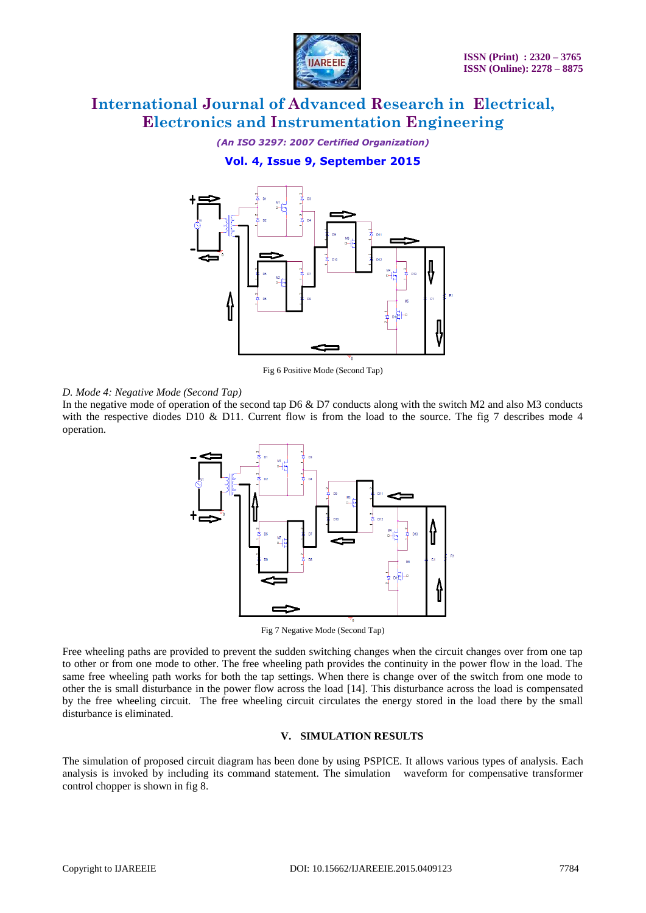

*(An ISO 3297: 2007 Certified Organization)*

**Vol. 4, Issue 9, September 2015**



Fig 6 Positive Mode (Second Tap)

### *D. Mode 4: Negative Mode (Second Tap)*

In the negative mode of operation of the second tap D6 & D7 conducts along with the switch M2 and also M3 conducts with the respective diodes D10 & D11. Current flow is from the load to the source. The fig 7 describes mode 4 operation.



Fig 7 Negative Mode (Second Tap)

Free wheeling paths are provided to prevent the sudden switching changes when the circuit changes over from one tap to other or from one mode to other. The free wheeling path provides the continuity in the power flow in the load. The same free wheeling path works for both the tap settings. When there is change over of the switch from one mode to other the is small disturbance in the power flow across the load [14]. This disturbance across the load is compensated by the free wheeling circuit. The free wheeling circuit circulates the energy stored in the load there by the small disturbance is eliminated.

### **V. SIMULATION RESULTS**

The simulation of proposed circuit diagram has been done by using PSPICE. It allows various types of analysis. Each analysis is invoked by including its command statement. The simulation waveform for compensative transformer control chopper is shown in fig 8.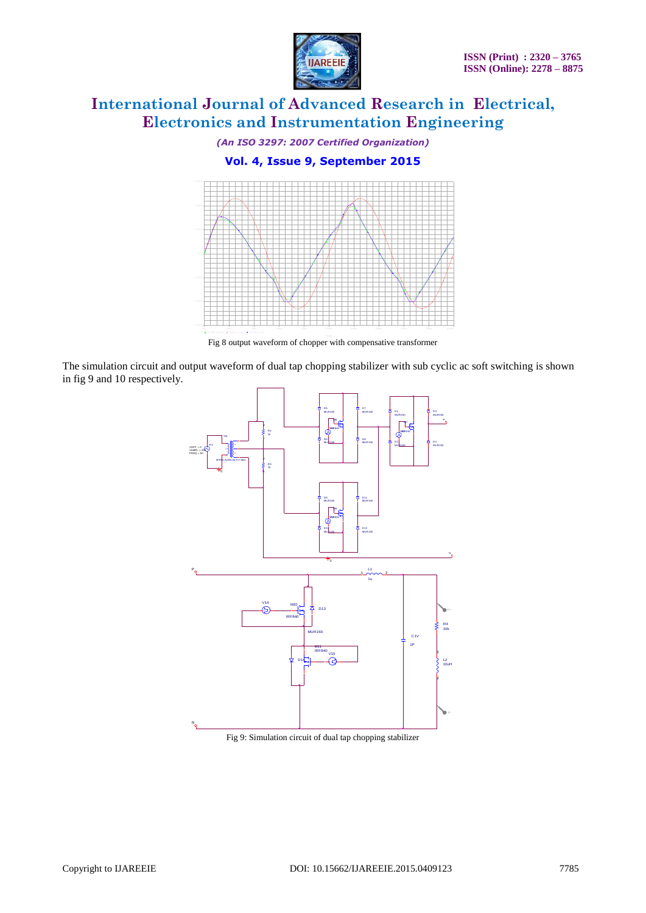

*(An ISO 3297: 2007 Certified Organization)*

**Vol. 4, Issue 9, September 2015**



Fig 8 output waveform of chopper with compensative transformer

The simulation circuit and output waveform of dual tap chopping stabilizer with sub cyclic ac soft switching is shown in fig 9 and 10 respectively.



Fig 9: Simulation circuit of dual tap chopping stabilizer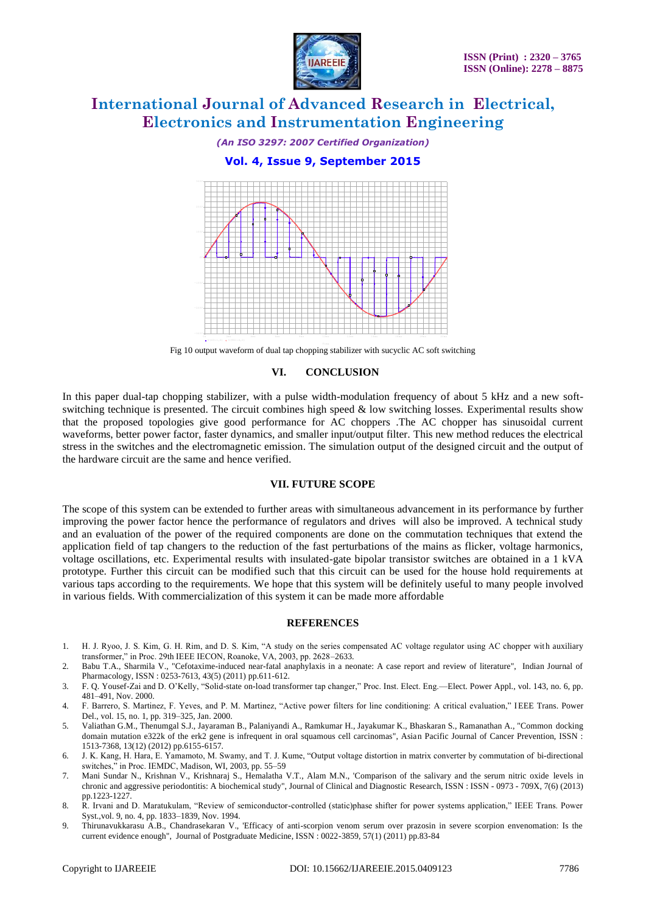

# *(An ISO 3297: 2007 Certified Organization)* **Vol. 4, Issue 9, September 2015**  $\frac{1}{2}$ 100V 200V 300V

Fig 10 output waveform of dual tap chopping stabilizer with sucyclic AC soft switching 0 s 2ms 4ms 6ms 8ms 10ms 12ms 14ms 16ms 18ms 20ms

V(D3:1,0) V(TX1:4,0)

-300V

-200V

-100V

#### **VI. CONCLUSION**

In this paper dual-tap chopping stabilizer, with a pulse width-modulation frequency of about 5 kHz and a new softswitching technique is presented. The circuit combines high speed  $\&$  low switching losses. Experimental results show that the proposed topologies give good performance for AC choppers .The AC chopper has sinusoidal current waveforms, better power factor, faster dynamics, and smaller input/output filter. This new method reduces the electrical stress in the switches and the electromagnetic emission. The simulation output of the designed circuit and the output of the hardware circuit are the same and hence verified.

#### **VII. FUTURE SCOPE**

The scope of this system can be extended to further areas with simultaneous advancement in its performance by further improving the power factor hence the performance of regulators and drives will also be improved. A technical study and an evaluation of the power of the required components are done on the commutation techniques that extend the application field of tap changers to the reduction of the fast perturbations of the mains as flicker, voltage harmonics, voltage oscillations, etc. Experimental results with insulated-gate bipolar transistor switches are obtained in a 1 kVA prototype. Further this circuit can be modified such that this circuit can be used for the house hold requirements at various taps according to the requirements. We hope that this system will be definitely useful to many people involved in various fields. With commercialization of this system it can be made more affordable

#### **REFERENCES**

- 1. H. J. Ryoo, J. S. Kim, G. H. Rim, and D. S. Kim, "A study on the series compensated AC voltage regulator using AC chopper with auxiliary transformer," in Proc. 29th IEEE IECON, Roanoke, VA, 2003, pp. 2628-2633.
- 2. Babu T.A., Sharmila V., "Cefotaxime-induced near-fatal anaphylaxis in a neonate: A case report and review of literature", Indian Journal of Pharmacology, ISSN : 0253-7613, 43(5) (2011) pp.611-612.
- 3. F. Q. Yousef-Zai and D. O'Kelly, "Solid-state on-load transformer tap changer," Proc. Inst. Elect. Eng.—Elect. Power Appl., vol. 143, no. 6, pp. 481–491, Nov. 2000.
- 4. F. Barrero, S. Martinez, F. Yeves, and P. M. Martinez, "Active power filters for line conditioning: A critical evaluation," IEEE Trans. Power Del., vol. 15, no. 1, pp. 319–325, Jan. 2000.
- 5. Valiathan G.M., Thenumgal S.J., Jayaraman B., Palaniyandi A., Ramkumar H., Jayakumar K., Bhaskaran S., Ramanathan A., "Common docking domain mutation e322k of the erk2 gene is infrequent in oral squamous cell carcinomas", Asian Pacific Journal of Cancer Prevention, ISSN : 1513-7368, 13(12) (2012) pp.6155-6157.
- 6. J. K. Kang, H. Hara, E. Yamamoto, M. Swamy, and T. J. Kume, "Output voltage distortion in matrix converter by commutation of bi-directional switches," in Proc. IEMDC, Madison, WI, 2003, pp. 55–59
- 7. Mani Sundar N., Krishnan V., Krishnaraj S., Hemalatha V.T., Alam M.N., 'Comparison of the salivary and the serum nitric oxide levels in chronic and aggressive periodontitis: A biochemical study", Journal of Clinical and Diagnostic Research, ISSN : ISSN - 0973 - 709X, 7(6) (2013) pp.1223-1227.
- 8. R. Irvani and D. Maratukulam, "Review of semiconductor-controlled (static)phase shifter for power systems application," IEEE Trans. Power Syst.,vol. 9, no. 4, pp. 1833–1839, Nov. 1994.
- 9. Thirunavukkarasu A.B., Chandrasekaran V., 'Efficacy of anti-scorpion venom serum over prazosin in severe scorpion envenomation: Is the current evidence enough", Journal of Postgraduate Medicine, ISSN : 0022-3859, 57(1) (2011) pp.83-84